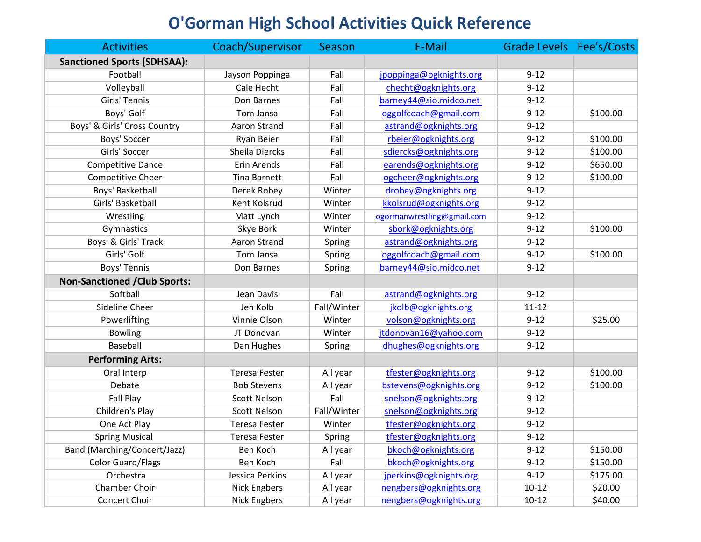## **O'Gorman High School Activities Quick Reference**

| <b>Activities</b>                    | Coach/Supervisor     | Season      | E-Mail                     | Grade Levels Fee's/Costs |          |
|--------------------------------------|----------------------|-------------|----------------------------|--------------------------|----------|
| <b>Sanctioned Sports (SDHSAA):</b>   |                      |             |                            |                          |          |
| Football                             | Jayson Poppinga      | Fall        | jpoppinga@ogknights.org    | $9 - 12$                 |          |
| Volleyball                           | Cale Hecht           | Fall        | checht@ogknights.org       | $9 - 12$                 |          |
| Girls' Tennis                        | Don Barnes           | Fall        | barney44@sio.midco.net     | $9 - 12$                 |          |
| Boys' Golf                           | Tom Jansa            | Fall        | oggolfcoach@gmail.com      | $9 - 12$                 | \$100.00 |
| Boys' & Girls' Cross Country         | Aaron Strand         | Fall        | astrand@ogknights.org      | $9 - 12$                 |          |
| Boys' Soccer                         | <b>Ryan Beier</b>    | Fall        | rbeier@ogknights.org       | $9 - 12$                 | \$100.00 |
| Girls' Soccer                        | Sheila Diercks       | Fall        | sdiercks@ogknights.org     | $9 - 12$                 | \$100.00 |
| <b>Competitive Dance</b>             | Erin Arends          | Fall        | earends@ogknights.org      | $9 - 12$                 | \$650.00 |
| Competitive Cheer                    | <b>Tina Barnett</b>  | Fall        | ogcheer@ogknights.org      | $9 - 12$                 | \$100.00 |
| Boys' Basketball                     | Derek Robey          | Winter      | drobey@ogknights.org       | $9 - 12$                 |          |
| Girls' Basketball                    | Kent Kolsrud         | Winter      | kkolsrud@ogknights.org     | $9 - 12$                 |          |
| Wrestling                            | Matt Lynch           | Winter      | ogormanwrestling@gmail.com | $9 - 12$                 |          |
| Gymnastics                           | Skye Bork            | Winter      | sbork@ogknights.org        | $9 - 12$                 | \$100.00 |
| Boys' & Girls' Track                 | Aaron Strand         | Spring      | astrand@ogknights.org      | $9 - 12$                 |          |
| Girls' Golf                          | Tom Jansa            | Spring      | oggolfcoach@gmail.com      | $9 - 12$                 | \$100.00 |
| Boys' Tennis                         | Don Barnes           | Spring      | barney44@sio.midco.net     | $9 - 12$                 |          |
| <b>Non-Sanctioned / Club Sports:</b> |                      |             |                            |                          |          |
| Softball                             | Jean Davis           | Fall        | astrand@ogknights.org      | $9 - 12$                 |          |
| Sideline Cheer                       | Jen Kolb             | Fall/Winter | jkolb@ogknights.org        | $11 - 12$                |          |
| Powerlifting                         | Vinnie Olson         | Winter      | volson@ogknights.org       | $9 - 12$                 | \$25.00  |
| <b>Bowling</b>                       | JT Donovan           | Winter      | jtdonovan16@yahoo.com      | $9 - 12$                 |          |
| Baseball                             | Dan Hughes           | Spring      | dhughes@ogknights.org      | $9 - 12$                 |          |
| <b>Performing Arts:</b>              |                      |             |                            |                          |          |
| Oral Interp                          | <b>Teresa Fester</b> | All year    | tfester@ogknights.org      | $9 - 12$                 | \$100.00 |
| Debate                               | <b>Bob Stevens</b>   | All year    | bstevens@ogknights.org     | $9 - 12$                 | \$100.00 |
| Fall Play                            | <b>Scott Nelson</b>  | Fall        | snelson@ogknights.org      | $9 - 12$                 |          |
| Children's Play                      | <b>Scott Nelson</b>  | Fall/Winter | snelson@ogknights.org      | $9 - 12$                 |          |
| One Act Play                         | <b>Teresa Fester</b> | Winter      | tfester@ogknights.org      | $9 - 12$                 |          |
| <b>Spring Musical</b>                | <b>Teresa Fester</b> | Spring      | tfester@ogknights.org      | $9 - 12$                 |          |
| Band (Marching/Concert/Jazz)         | Ben Koch             | All year    | bkoch@ogknights.org        | $9 - 12$                 | \$150.00 |
| <b>Color Guard/Flags</b>             | Ben Koch             | Fall        | bkoch@ogknights.org        | $9 - 12$                 | \$150.00 |
| Orchestra                            | Jessica Perkins      | All year    | jperkins@ogknights.org     | $9 - 12$                 | \$175.00 |
| Chamber Choir                        | <b>Nick Engbers</b>  | All year    | nengbers@ogknights.org     | $10 - 12$                | \$20.00  |
| Concert Choir                        | <b>Nick Engbers</b>  | All year    | nengbers@ogknights.org     | $10 - 12$                | \$40.00  |